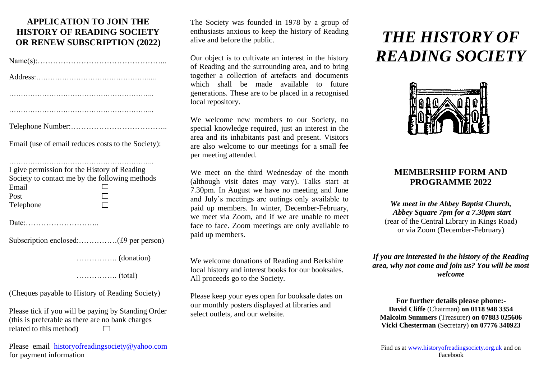# **APPLICATION TO JOIN THE HISTORY OF READING SOCIETY OR RENEW SUBSCRIPTION (2022)**

| Email (use of email reduces costs to the Society): |
|----------------------------------------------------|

| I give permission for the History of Reading |                                                |
|----------------------------------------------|------------------------------------------------|
|                                              | Society to contact me by the following methods |
| Email                                        |                                                |
| Post                                         |                                                |
| Telephone                                    |                                                |
|                                              |                                                |

Date:………………………..

……………. (donation)

……………. (total)

(Cheques payable to History of Reading Society)

Please tick if you will be paying by Standing Order (this is preferable as there are no bank charges related to this method)  $\Box$ 

Please email [historyofreadingsociety@yahoo.com](mailto:historyofreadingsociety@yahoo.com) for payment information

The Society was founded in 1978 by a group of enthusiasts anxious to keep the history of Reading alive and before the public.

Our object is to cultivate an interest in the history of Reading and the surrounding area, and to bring together a collection of artefacts and documents which shall be made available to future generations. These are to be placed in a recognised local repository.

We welcome new members to our Society, no special knowledge required, just an interest in the area and its inhabitants past and present. Visitors are also welcome to our meetings for a small fee per meeting attended.

We meet on the third Wednesday of the month (although visit dates may vary). Talks start at 7.30pm. In August we have no meeting and June and July's meetings are outings only available to paid up members. In winter, December-February, we meet via Zoom, and if we are unable to meet face to face. Zoom meetings are only available to paid up members.

We welcome donations of Reading and Berkshire local history and interest books for our booksales. All proceeds go to the Society.

Please keep your eyes open for booksale dates on our monthly posters displayed at libraries and select outlets, and our website.

# *THE HISTORY OF READING SOCIETY*



# **MEMBERSHIP FORM AND PROGRAMME 2022**

*We meet in the Abbey Baptist Church, Abbey Square 7pm for a 7.30pm start* (rear of the Central Library in Kings Road) or via Zoom (December-February)

*If you are interested in the history of the Reading area, why not come and join us? You will be most welcome*

**For further details please phone:- David Cliffe** (Chairman) **on 0118 948 3354 Malcolm Summers** (Treasurer) **on 07883 025606 Vicki Chesterman** (Secretary) **on 07776 340923**